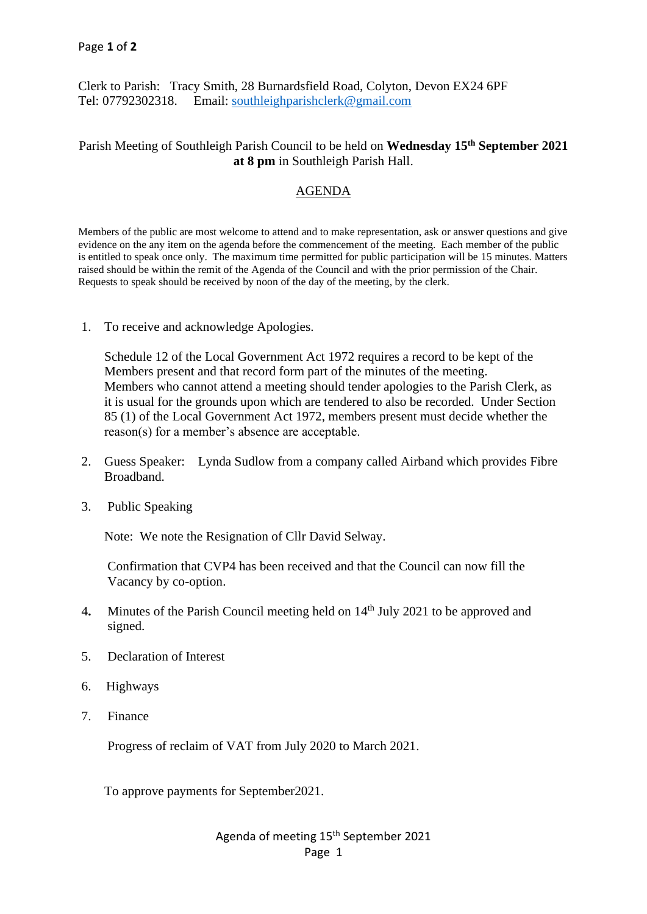Clerk to Parish: Tracy Smith, 28 Burnardsfield Road, Colyton, Devon EX24 6PF Tel: 07792302318. Email: [southleighparishclerk@gmail.com](mailto:southleighparishclerk@gmail.com)

## Parish Meeting of Southleigh Parish Council to be held on Wednesday 15<sup>th</sup> September 2021 **at 8 pm** in Southleigh Parish Hall.

# AGENDA

Members of the public are most welcome to attend and to make representation, ask or answer questions and give evidence on the any item on the agenda before the commencement of the meeting. Each member of the public is entitled to speak once only. The maximum time permitted for public participation will be 15 minutes. Matters raised should be within the remit of the Agenda of the Council and with the prior permission of the Chair. Requests to speak should be received by noon of the day of the meeting, by the clerk.

1. To receive and acknowledge Apologies.

 Schedule 12 of the Local Government Act 1972 requires a record to be kept of the Members present and that record form part of the minutes of the meeting. Members who cannot attend a meeting should tender apologies to the Parish Clerk, as it is usual for the grounds upon which are tendered to also be recorded. Under Section 85 (1) of the Local Government Act 1972, members present must decide whether the reason(s) for a member's absence are acceptable.

- 2. Guess Speaker: Lynda Sudlow from a company called Airband which provides Fibre Broadband.
- 3. Public Speaking

Note: We note the Resignation of Cllr David Selway.

 Confirmation that CVP4 has been received and that the Council can now fill the Vacancy by co-option.

- 4. Minutes of the Parish Council meeting held on 14<sup>th</sup> July 2021 to be approved and signed.
- 5. Declaration of Interest
- 6. Highways
- 7. Finance

Progress of reclaim of VAT from July 2020 to March 2021.

To approve payments for September2021.